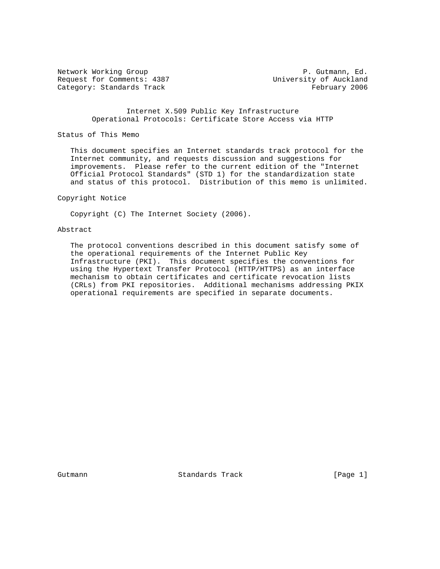Request for Comments: 4387 University of Auckland Category: Standards Track February 2006

Network Working Group **P. Gutmann, Ed.** 

 Internet X.509 Public Key Infrastructure Operational Protocols: Certificate Store Access via HTTP

Status of This Memo

 This document specifies an Internet standards track protocol for the Internet community, and requests discussion and suggestions for improvements. Please refer to the current edition of the "Internet Official Protocol Standards" (STD 1) for the standardization state and status of this protocol. Distribution of this memo is unlimited.

Copyright Notice

Copyright (C) The Internet Society (2006).

#### Abstract

 The protocol conventions described in this document satisfy some of the operational requirements of the Internet Public Key Infrastructure (PKI). This document specifies the conventions for using the Hypertext Transfer Protocol (HTTP/HTTPS) as an interface mechanism to obtain certificates and certificate revocation lists (CRLs) from PKI repositories. Additional mechanisms addressing PKIX operational requirements are specified in separate documents.

Gutmann **Standards Track** [Page 1]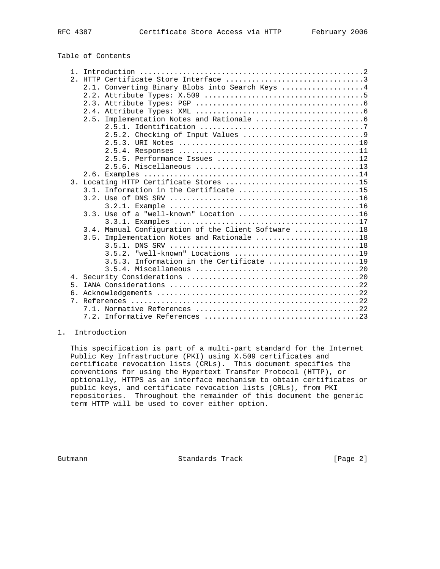Table of Contents

|             | 2.1. Converting Binary Blobs into Search Keys 4     |  |
|-------------|-----------------------------------------------------|--|
|             |                                                     |  |
|             |                                                     |  |
|             |                                                     |  |
|             | 2.5.                                                |  |
|             |                                                     |  |
|             |                                                     |  |
|             |                                                     |  |
|             |                                                     |  |
|             |                                                     |  |
|             |                                                     |  |
|             |                                                     |  |
|             | 3. Locating HTTP Certificate Stores 15              |  |
|             | 3.1. Information in the Certificate 15              |  |
|             |                                                     |  |
|             |                                                     |  |
|             | $3.3.$ Use of a "well-known" Location 16            |  |
|             | 3.4. Manual Configuration of the Client Software 18 |  |
|             | 3.5. Implementation Notes and Rationale 18          |  |
|             |                                                     |  |
|             |                                                     |  |
|             | Information in the Certificate 19<br>3 5 3          |  |
|             |                                                     |  |
|             |                                                     |  |
| 5.          |                                                     |  |
| б.          |                                                     |  |
| $7_{\circ}$ |                                                     |  |
|             |                                                     |  |
|             |                                                     |  |
|             |                                                     |  |

# 1. Introduction

 This specification is part of a multi-part standard for the Internet Public Key Infrastructure (PKI) using X.509 certificates and certificate revocation lists (CRLs). This document specifies the conventions for using the Hypertext Transfer Protocol (HTTP), or optionally, HTTPS as an interface mechanism to obtain certificates or public keys, and certificate revocation lists (CRLs), from PKI repositories. Throughout the remainder of this document the generic term HTTP will be used to cover either option.

Gutmann **Standards Track** [Page 2]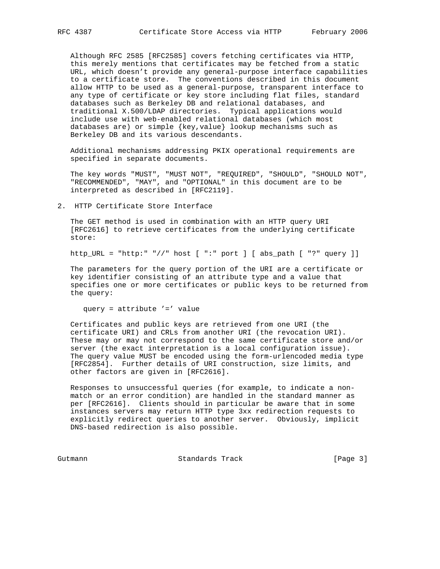Although RFC 2585 [RFC2585] covers fetching certificates via HTTP, this merely mentions that certificates may be fetched from a static URL, which doesn't provide any general-purpose interface capabilities to a certificate store. The conventions described in this document allow HTTP to be used as a general-purpose, transparent interface to any type of certificate or key store including flat files, standard databases such as Berkeley DB and relational databases, and traditional X.500/LDAP directories. Typical applications would include use with web-enabled relational databases (which most databases are) or simple {key,value} lookup mechanisms such as Berkeley DB and its various descendants.

 Additional mechanisms addressing PKIX operational requirements are specified in separate documents.

 The key words "MUST", "MUST NOT", "REQUIRED", "SHOULD", "SHOULD NOT", "RECOMMENDED", "MAY", and "OPTIONAL" in this document are to be interpreted as described in [RFC2119].

2. HTTP Certificate Store Interface

 The GET method is used in combination with an HTTP query URI [RFC2616] to retrieve certificates from the underlying certificate store:

http\_URL = "http:" "//" host [ ":" port ] [ abs\_path [ "?" query ]]

 The parameters for the query portion of the URI are a certificate or key identifier consisting of an attribute type and a value that specifies one or more certificates or public keys to be returned from the query:

query = attribute '=' value

 Certificates and public keys are retrieved from one URI (the certificate URI) and CRLs from another URI (the revocation URI). These may or may not correspond to the same certificate store and/or server (the exact interpretation is a local configuration issue). The query value MUST be encoded using the form-urlencoded media type [RFC2854]. Further details of URI construction, size limits, and other factors are given in [RFC2616].

 Responses to unsuccessful queries (for example, to indicate a non match or an error condition) are handled in the standard manner as per [RFC2616]. Clients should in particular be aware that in some instances servers may return HTTP type 3xx redirection requests to explicitly redirect queries to another server. Obviously, implicit DNS-based redirection is also possible.

Gutmann Standards Track [Page 3]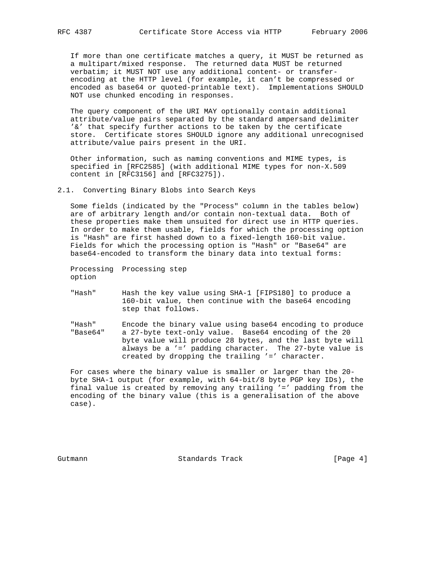If more than one certificate matches a query, it MUST be returned as a multipart/mixed response. The returned data MUST be returned verbatim; it MUST NOT use any additional content- or transfer encoding at the HTTP level (for example, it can't be compressed or encoded as base64 or quoted-printable text). Implementations SHOULD NOT use chunked encoding in responses.

 The query component of the URI MAY optionally contain additional attribute/value pairs separated by the standard ampersand delimiter '&' that specify further actions to be taken by the certificate store. Certificate stores SHOULD ignore any additional unrecognised attribute/value pairs present in the URI.

 Other information, such as naming conventions and MIME types, is specified in [RFC2585] (with additional MIME types for non-X.509 content in [RFC3156] and [RFC3275]).

2.1. Converting Binary Blobs into Search Keys

 Some fields (indicated by the "Process" column in the tables below) are of arbitrary length and/or contain non-textual data. Both of these properties make them unsuited for direct use in HTTP queries. In order to make them usable, fields for which the processing option is "Hash" are first hashed down to a fixed-length 160-bit value. Fields for which the processing option is "Hash" or "Base64" are base64-encoded to transform the binary data into textual forms:

 Processing Processing step option

- "Hash" Hash the key value using SHA-1 [FIPS180] to produce a 160-bit value, then continue with the base64 encoding step that follows.
- "Hash" Encode the binary value using base64 encoding to produce "Base64" a 27-byte text-only value. Base64 encoding of the 20 byte value will produce 28 bytes, and the last byte will always be a '=' padding character. The 27-byte value is created by dropping the trailing '=' character.

 For cases where the binary value is smaller or larger than the 20 byte SHA-1 output (for example, with 64-bit/8 byte PGP key IDs), the final value is created by removing any trailing '=' padding from the encoding of the binary value (this is a generalisation of the above case).

Gutmann **Standards Track** [Page 4]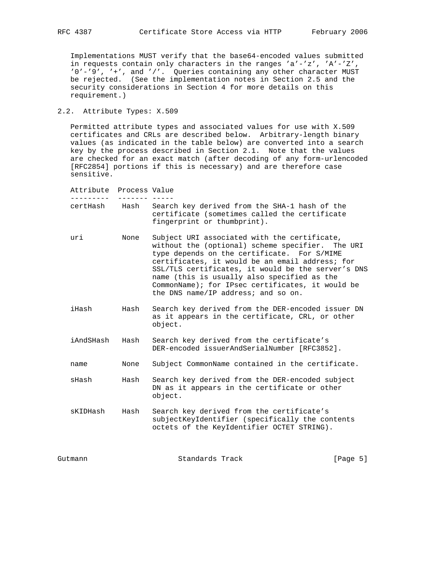Implementations MUST verify that the base64-encoded values submitted in requests contain only characters in the ranges  $a' - z'$ ,  $'A' - z''$ , '0'-'9', '+', and '/'. Queries containing any other character MUST be rejected. (See the implementation notes in Section 2.5 and the security considerations in Section 4 for more details on this requirement.)

2.2. Attribute Types: X.509

 Permitted attribute types and associated values for use with X.509 certificates and CRLs are described below. Arbitrary-length binary values (as indicated in the table below) are converted into a search key by the process described in Section 2.1. Note that the values are checked for an exact match (after decoding of any form-urlencoded [RFC2854] portions if this is necessary) and are therefore case sensitive.

| Attribute | Process Value |                                                                                                                                                                                                                                                                                                                                                                                                    |          |
|-----------|---------------|----------------------------------------------------------------------------------------------------------------------------------------------------------------------------------------------------------------------------------------------------------------------------------------------------------------------------------------------------------------------------------------------------|----------|
| certHash  | Hash          | Search key derived from the SHA-1 hash of the<br>certificate (sometimes called the certificate<br>fingerprint or thumbprint).                                                                                                                                                                                                                                                                      |          |
| uri       | None          | Subject URI associated with the certificate,<br>without the (optional) scheme specifier. The URI<br>type depends on the certificate. For S/MIME<br>certificates, it would be an email address; for<br>SSL/TLS certificates, it would be the server's DNS<br>name (this is usually also specified as the<br>CommonName); for IPsec certificates, it would be<br>the DNS name/IP address; and so on. |          |
| iHash     | Hash          | Search key derived from the DER-encoded issuer DN<br>as it appears in the certificate, CRL, or other<br>object.                                                                                                                                                                                                                                                                                    |          |
| iAndSHash | Hash          | Search key derived from the certificate's<br>DER-encoded issuerAndSerialNumber [RFC3852].                                                                                                                                                                                                                                                                                                          |          |
| name      | None          | Subject CommonName contained in the certificate.                                                                                                                                                                                                                                                                                                                                                   |          |
| sHash     | Hash          | Search key derived from the DER-encoded subject<br>DN as it appears in the certificate or other<br>object.                                                                                                                                                                                                                                                                                         |          |
| sKIDHash  | Hash          | Search key derived from the certificate's<br>subjectKeyIdentifier (specifically the contents<br>octets of the KeyIdentifier OCTET STRING).                                                                                                                                                                                                                                                         |          |
| Gutmann   |               | Standards Track                                                                                                                                                                                                                                                                                                                                                                                    | [Page 5] |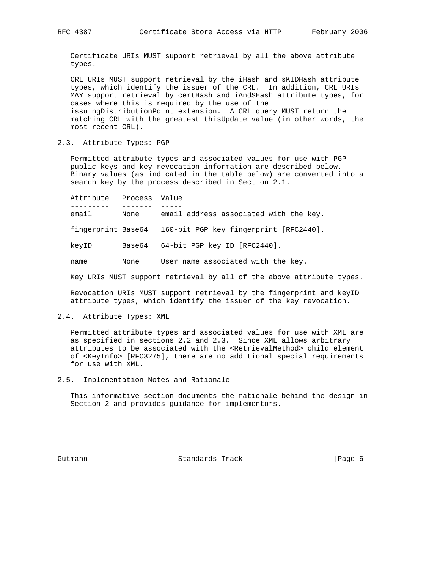Certificate URIs MUST support retrieval by all the above attribute types.

 CRL URIs MUST support retrieval by the iHash and sKIDHash attribute types, which identify the issuer of the CRL. In addition, CRL URIs MAY support retrieval by certHash and iAndSHash attribute types, for cases where this is required by the use of the issuingDistributionPoint extension. A CRL query MUST return the matching CRL with the greatest thisUpdate value (in other words, the most recent CRL).

2.3. Attribute Types: PGP

 Permitted attribute types and associated values for use with PGP public keys and key revocation information are described below. Binary values (as indicated in the table below) are converted into a search key by the process described in Section 2.1.

 Attribute Process Value --------- ------- ---- email None email address associated with the key. fingerprint Base64 160-bit PGP key fingerprint [RFC2440]. keyID Base64 64-bit PGP key ID [RFC2440]. name None User name associated with the key.

Key URIs MUST support retrieval by all of the above attribute types.

 Revocation URIs MUST support retrieval by the fingerprint and keyID attribute types, which identify the issuer of the key revocation.

2.4. Attribute Types: XML

 Permitted attribute types and associated values for use with XML are as specified in sections 2.2 and 2.3. Since XML allows arbitrary attributes to be associated with the <RetrievalMethod> child element of <KeyInfo> [RFC3275], there are no additional special requirements for use with XML.

2.5. Implementation Notes and Rationale

 This informative section documents the rationale behind the design in Section 2 and provides guidance for implementors.

Gutmann **Standards Track** [Page 6]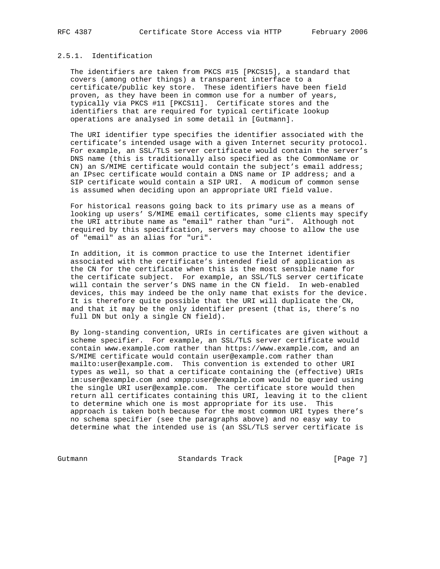# 2.5.1. Identification

 The identifiers are taken from PKCS #15 [PKCS15], a standard that covers (among other things) a transparent interface to a certificate/public key store. These identifiers have been field proven, as they have been in common use for a number of years, typically via PKCS #11 [PKCS11]. Certificate stores and the identifiers that are required for typical certificate lookup operations are analysed in some detail in [Gutmann].

 The URI identifier type specifies the identifier associated with the certificate's intended usage with a given Internet security protocol. For example, an SSL/TLS server certificate would contain the server's DNS name (this is traditionally also specified as the CommonName or CN) an S/MIME certificate would contain the subject's email address; an IPsec certificate would contain a DNS name or IP address; and a SIP certificate would contain a SIP URI. A modicum of common sense is assumed when deciding upon an appropriate URI field value.

 For historical reasons going back to its primary use as a means of looking up users' S/MIME email certificates, some clients may specify the URI attribute name as "email" rather than "uri". Although not required by this specification, servers may choose to allow the use of "email" as an alias for "uri".

 In addition, it is common practice to use the Internet identifier associated with the certificate's intended field of application as the CN for the certificate when this is the most sensible name for the certificate subject. For example, an SSL/TLS server certificate will contain the server's DNS name in the CN field. In web-enabled devices, this may indeed be the only name that exists for the device. It is therefore quite possible that the URI will duplicate the CN, and that it may be the only identifier present (that is, there's no full DN but only a single CN field).

 By long-standing convention, URIs in certificates are given without a scheme specifier. For example, an SSL/TLS server certificate would contain www.example.com rather than https://www.example.com, and an S/MIME certificate would contain user@example.com rather than mailto:user@example.com. This convention is extended to other URI types as well, so that a certificate containing the (effective) URIs im:user@example.com and xmpp:user@example.com would be queried using the single URI user@example.com. The certificate store would then return all certificates containing this URI, leaving it to the client to determine which one is most appropriate for its use. This approach is taken both because for the most common URI types there's no schema specifier (see the paragraphs above) and no easy way to determine what the intended use is (an SSL/TLS server certificate is

Gutmann **Standards Track** [Page 7]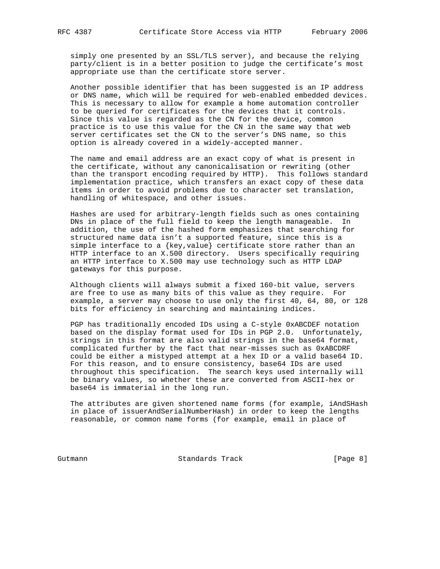simply one presented by an SSL/TLS server), and because the relying party/client is in a better position to judge the certificate's most appropriate use than the certificate store server.

 Another possible identifier that has been suggested is an IP address or DNS name, which will be required for web-enabled embedded devices. This is necessary to allow for example a home automation controller to be queried for certificates for the devices that it controls. Since this value is regarded as the CN for the device, common practice is to use this value for the CN in the same way that web server certificates set the CN to the server's DNS name, so this option is already covered in a widely-accepted manner.

 The name and email address are an exact copy of what is present in the certificate, without any canonicalisation or rewriting (other than the transport encoding required by HTTP). This follows standard implementation practice, which transfers an exact copy of these data items in order to avoid problems due to character set translation, handling of whitespace, and other issues.

 Hashes are used for arbitrary-length fields such as ones containing DNs in place of the full field to keep the length manageable. In addition, the use of the hashed form emphasizes that searching for structured name data isn't a supported feature, since this is a simple interface to a {key,value} certificate store rather than an HTTP interface to an X.500 directory. Users specifically requiring an HTTP interface to X.500 may use technology such as HTTP LDAP gateways for this purpose.

 Although clients will always submit a fixed 160-bit value, servers are free to use as many bits of this value as they require. For example, a server may choose to use only the first 40, 64, 80, or 128 bits for efficiency in searching and maintaining indices.

 PGP has traditionally encoded IDs using a C-style 0xABCDEF notation based on the display format used for IDs in PGP 2.0. Unfortunately, strings in this format are also valid strings in the base64 format, complicated further by the fact that near-misses such as 0xABCDRF could be either a mistyped attempt at a hex ID or a valid base64 ID. For this reason, and to ensure consistency, base64 IDs are used throughout this specification. The search keys used internally will be binary values, so whether these are converted from ASCII-hex or base64 is immaterial in the long run.

 The attributes are given shortened name forms (for example, iAndSHash in place of issuerAndSerialNumberHash) in order to keep the lengths reasonable, or common name forms (for example, email in place of

Gutmann Standards Track [Page 8]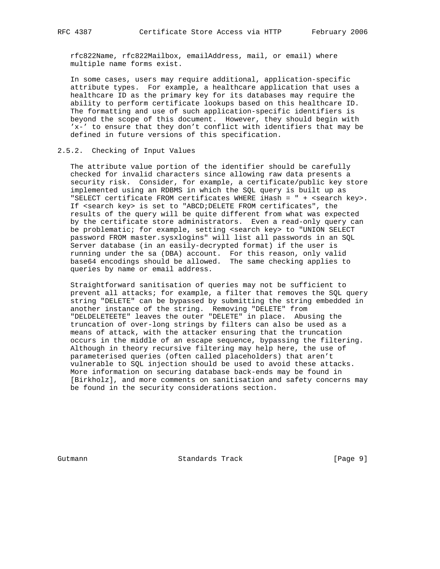rfc822Name, rfc822Mailbox, emailAddress, mail, or email) where multiple name forms exist.

 In some cases, users may require additional, application-specific attribute types. For example, a healthcare application that uses a healthcare ID as the primary key for its databases may require the ability to perform certificate lookups based on this healthcare ID. The formatting and use of such application-specific identifiers is beyond the scope of this document. However, they should begin with 'x-' to ensure that they don't conflict with identifiers that may be defined in future versions of this specification.

# 2.5.2. Checking of Input Values

 The attribute value portion of the identifier should be carefully checked for invalid characters since allowing raw data presents a security risk. Consider, for example, a certificate/public key store implemented using an RDBMS in which the SQL query is built up as "SELECT certificate FROM certificates WHERE iHash = " + <search key>. If <search key> is set to "ABCD;DELETE FROM certificates", the results of the query will be quite different from what was expected by the certificate store administrators. Even a read-only query can be problematic; for example, setting <search key> to "UNION SELECT password FROM master.sysxlogins" will list all passwords in an SQL Server database (in an easily-decrypted format) if the user is running under the sa (DBA) account. For this reason, only valid base64 encodings should be allowed. The same checking applies to queries by name or email address.

 Straightforward sanitisation of queries may not be sufficient to prevent all attacks; for example, a filter that removes the SQL query string "DELETE" can be bypassed by submitting the string embedded in another instance of the string. Removing "DELETE" from "DELDELETEETE" leaves the outer "DELETE" in place. Abusing the truncation of over-long strings by filters can also be used as a means of attack, with the attacker ensuring that the truncation occurs in the middle of an escape sequence, bypassing the filtering. Although in theory recursive filtering may help here, the use of parameterised queries (often called placeholders) that aren't vulnerable to SQL injection should be used to avoid these attacks. More information on securing database back-ends may be found in [Birkholz], and more comments on sanitisation and safety concerns may be found in the security considerations section.

Gutmann **Standards Track** [Page 9]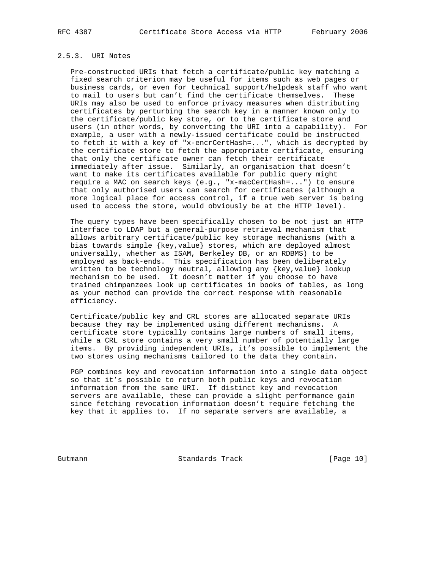# 2.5.3. URI Notes

 Pre-constructed URIs that fetch a certificate/public key matching a fixed search criterion may be useful for items such as web pages or business cards, or even for technical support/helpdesk staff who want to mail to users but can't find the certificate themselves. These URIs may also be used to enforce privacy measures when distributing certificates by perturbing the search key in a manner known only to the certificate/public key store, or to the certificate store and users (in other words, by converting the URI into a capability). For example, a user with a newly-issued certificate could be instructed to fetch it with a key of "x-encrCertHash=...", which is decrypted by the certificate store to fetch the appropriate certificate, ensuring that only the certificate owner can fetch their certificate immediately after issue. Similarly, an organisation that doesn't want to make its certificates available for public query might require a MAC on search keys (e.g., "x-macCertHash=...") to ensure that only authorised users can search for certificates (although a more logical place for access control, if a true web server is being used to access the store, would obviously be at the HTTP level).

 The query types have been specifically chosen to be not just an HTTP interface to LDAP but a general-purpose retrieval mechanism that allows arbitrary certificate/public key storage mechanisms (with a bias towards simple {key,value} stores, which are deployed almost universally, whether as ISAM, Berkeley DB, or an RDBMS) to be employed as back-ends. This specification has been deliberately written to be technology neutral, allowing any {key,value} lookup mechanism to be used. It doesn't matter if you choose to have trained chimpanzees look up certificates in books of tables, as long as your method can provide the correct response with reasonable efficiency.

 Certificate/public key and CRL stores are allocated separate URIs because they may be implemented using different mechanisms. A certificate store typically contains large numbers of small items, while a CRL store contains a very small number of potentially large items. By providing independent URIs, it's possible to implement the two stores using mechanisms tailored to the data they contain.

 PGP combines key and revocation information into a single data object so that it's possible to return both public keys and revocation information from the same URI. If distinct key and revocation servers are available, these can provide a slight performance gain since fetching revocation information doesn't require fetching the key that it applies to. If no separate servers are available, a

Gutmann Standards Track [Page 10]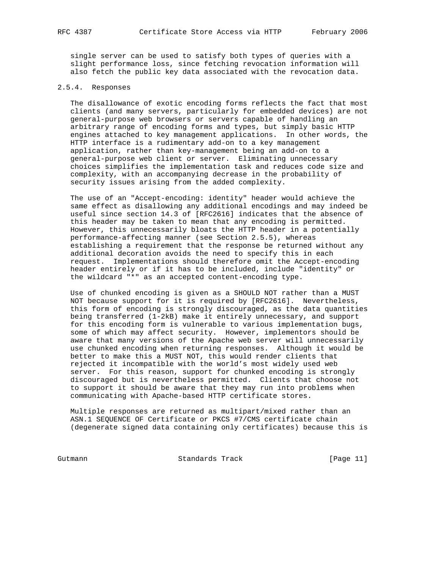single server can be used to satisfy both types of queries with a slight performance loss, since fetching revocation information will also fetch the public key data associated with the revocation data.

# 2.5.4. Responses

 The disallowance of exotic encoding forms reflects the fact that most clients (and many servers, particularly for embedded devices) are not general-purpose web browsers or servers capable of handling an arbitrary range of encoding forms and types, but simply basic HTTP engines attached to key management applications. In other words, the HTTP interface is a rudimentary add-on to a key management application, rather than key-management being an add-on to a general-purpose web client or server. Eliminating unnecessary choices simplifies the implementation task and reduces code size and complexity, with an accompanying decrease in the probability of security issues arising from the added complexity.

 The use of an "Accept-encoding: identity" header would achieve the same effect as disallowing any additional encodings and may indeed be useful since section 14.3 of [RFC2616] indicates that the absence of this header may be taken to mean that any encoding is permitted. However, this unnecessarily bloats the HTTP header in a potentially performance-affecting manner (see Section 2.5.5), whereas establishing a requirement that the response be returned without any additional decoration avoids the need to specify this in each request. Implementations should therefore omit the Accept-encoding header entirely or if it has to be included, include "identity" or the wildcard "\*" as an accepted content-encoding type.

 Use of chunked encoding is given as a SHOULD NOT rather than a MUST NOT because support for it is required by [RFC2616]. Nevertheless, this form of encoding is strongly discouraged, as the data quantities being transferred (1-2kB) make it entirely unnecessary, and support for this encoding form is vulnerable to various implementation bugs, some of which may affect security. However, implementors should be aware that many versions of the Apache web server will unnecessarily use chunked encoding when returning responses. Although it would be better to make this a MUST NOT, this would render clients that rejected it incompatible with the world's most widely used web server. For this reason, support for chunked encoding is strongly discouraged but is nevertheless permitted. Clients that choose not to support it should be aware that they may run into problems when communicating with Apache-based HTTP certificate stores.

 Multiple responses are returned as multipart/mixed rather than an ASN.1 SEQUENCE OF Certificate or PKCS #7/CMS certificate chain (degenerate signed data containing only certificates) because this is

Gutmann Standards Track [Page 11]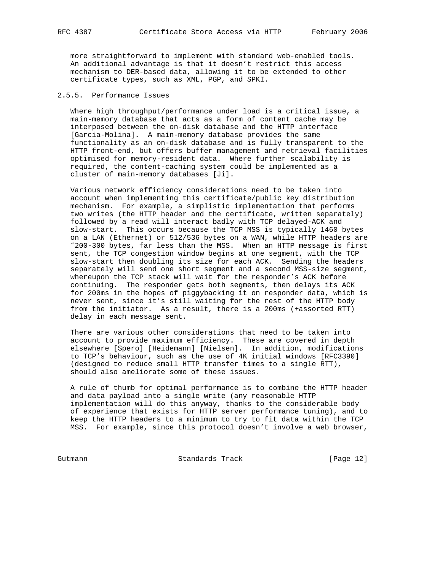more straightforward to implement with standard web-enabled tools. An additional advantage is that it doesn't restrict this access mechanism to DER-based data, allowing it to be extended to other certificate types, such as XML, PGP, and SPKI.

## 2.5.5. Performance Issues

 Where high throughput/performance under load is a critical issue, a main-memory database that acts as a form of content cache may be interposed between the on-disk database and the HTTP interface [Garcia-Molina]. A main-memory database provides the same functionality as an on-disk database and is fully transparent to the HTTP front-end, but offers buffer management and retrieval facilities optimised for memory-resident data. Where further scalability is required, the content-caching system could be implemented as a cluster of main-memory databases [Ji].

 Various network efficiency considerations need to be taken into account when implementing this certificate/public key distribution mechanism. For example, a simplistic implementation that performs two writes (the HTTP header and the certificate, written separately) followed by a read will interact badly with TCP delayed-ACK and slow-start. This occurs because the TCP MSS is typically 1460 bytes on a LAN (Ethernet) or 512/536 bytes on a WAN, while HTTP headers are ˜200-300 bytes, far less than the MSS. When an HTTP message is first sent, the TCP congestion window begins at one segment, with the TCP slow-start then doubling its size for each ACK. Sending the headers separately will send one short segment and a second MSS-size segment, whereupon the TCP stack will wait for the responder's ACK before continuing. The responder gets both segments, then delays its ACK for 200ms in the hopes of piggybacking it on responder data, which is never sent, since it's still waiting for the rest of the HTTP body from the initiator. As a result, there is a 200ms (+assorted RTT) delay in each message sent.

 There are various other considerations that need to be taken into account to provide maximum efficiency. These are covered in depth elsewhere [Spero] [Heidemann] [Nielsen]. In addition, modifications to TCP's behaviour, such as the use of 4K initial windows [RFC3390] (designed to reduce small HTTP transfer times to a single RTT), should also ameliorate some of these issues.

 A rule of thumb for optimal performance is to combine the HTTP header and data payload into a single write (any reasonable HTTP implementation will do this anyway, thanks to the considerable body of experience that exists for HTTP server performance tuning), and to keep the HTTP headers to a minimum to try to fit data within the TCP MSS. For example, since this protocol doesn't involve a web browser,

Gutmann Standards Track [Page 12]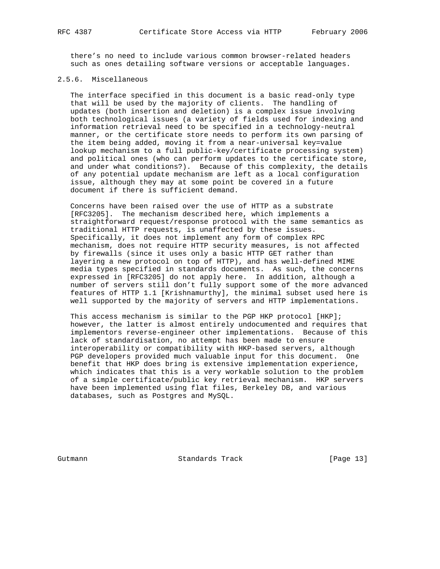there's no need to include various common browser-related headers such as ones detailing software versions or acceptable languages.

# 2.5.6. Miscellaneous

 The interface specified in this document is a basic read-only type that will be used by the majority of clients. The handling of updates (both insertion and deletion) is a complex issue involving both technological issues (a variety of fields used for indexing and information retrieval need to be specified in a technology-neutral manner, or the certificate store needs to perform its own parsing of the item being added, moving it from a near-universal key=value lookup mechanism to a full public-key/certificate processing system) and political ones (who can perform updates to the certificate store, and under what conditions?). Because of this complexity, the details of any potential update mechanism are left as a local configuration issue, although they may at some point be covered in a future document if there is sufficient demand.

 Concerns have been raised over the use of HTTP as a substrate [RFC3205]. The mechanism described here, which implements a straightforward request/response protocol with the same semantics as traditional HTTP requests, is unaffected by these issues. Specifically, it does not implement any form of complex RPC mechanism, does not require HTTP security measures, is not affected by firewalls (since it uses only a basic HTTP GET rather than layering a new protocol on top of HTTP), and has well-defined MIME media types specified in standards documents. As such, the concerns expressed in [RFC3205] do not apply here. In addition, although a number of servers still don't fully support some of the more advanced features of HTTP 1.1 [Krishnamurthy], the minimal subset used here is well supported by the majority of servers and HTTP implementations.

 This access mechanism is similar to the PGP HKP protocol [HKP]; however, the latter is almost entirely undocumented and requires that implementors reverse-engineer other implementations. Because of this lack of standardisation, no attempt has been made to ensure interoperability or compatibility with HKP-based servers, although PGP developers provided much valuable input for this document. One benefit that HKP does bring is extensive implementation experience, which indicates that this is a very workable solution to the problem of a simple certificate/public key retrieval mechanism. HKP servers have been implemented using flat files, Berkeley DB, and various databases, such as Postgres and MySQL.

Gutmann Standards Track [Page 13]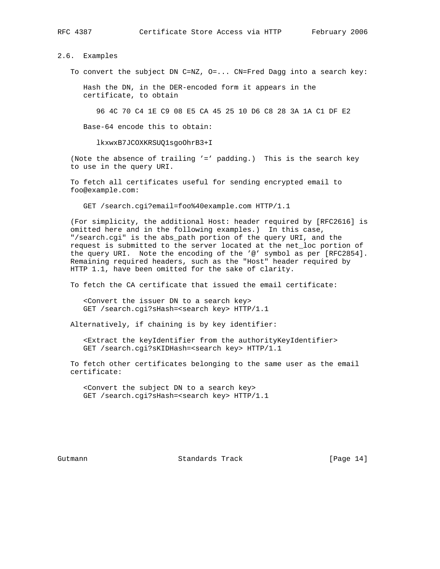# 2.6. Examples

To convert the subject DN C=NZ, O=... CN=Fred Dagg into a search key:

 Hash the DN, in the DER-encoded form it appears in the certificate, to obtain

96 4C 70 C4 1E C9 08 E5 CA 45 25 10 D6 C8 28 3A 1A C1 DF E2

Base-64 encode this to obtain:

lkxwxB7JCOXKRSUQ1sgoOhrB3+I

 (Note the absence of trailing '=' padding.) This is the search key to use in the query URI.

 To fetch all certificates useful for sending encrypted email to foo@example.com:

GET /search.cgi?email=foo%40example.com HTTP/1.1

 (For simplicity, the additional Host: header required by [RFC2616] is omitted here and in the following examples.) In this case, "/search.cgi" is the abs\_path portion of the query URI, and the request is submitted to the server located at the net\_loc portion of the query URI. Note the encoding of the '@' symbol as per [RFC2854]. Remaining required headers, such as the "Host" header required by HTTP 1.1, have been omitted for the sake of clarity.

To fetch the CA certificate that issued the email certificate:

 <Convert the issuer DN to a search key> GET /search.cgi?sHash=<search key> HTTP/1.1

Alternatively, if chaining is by key identifier:

 <Extract the keyIdentifier from the authorityKeyIdentifier> GET /search.cgi?sKIDHash=<search key> HTTP/1.1

 To fetch other certificates belonging to the same user as the email certificate:

 <Convert the subject DN to a search key> GET /search.cgi?sHash=<search key> HTTP/1.1

Gutmann **Standards Track** [Page 14]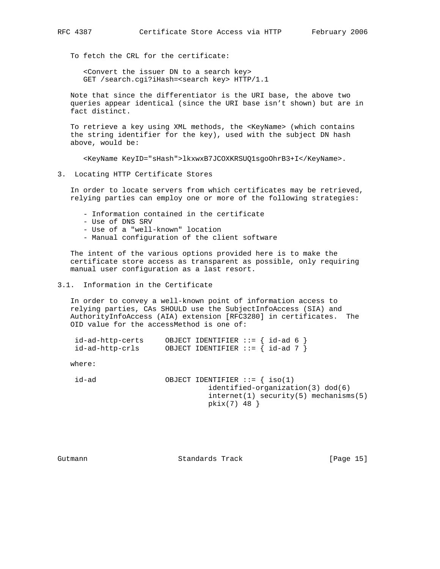To fetch the CRL for the certificate:

 <Convert the issuer DN to a search key> GET /search.cgi?iHash=<search key> HTTP/1.1

 Note that since the differentiator is the URI base, the above two queries appear identical (since the URI base isn't shown) but are in fact distinct.

 To retrieve a key using XML methods, the <KeyName> (which contains the string identifier for the key), used with the subject DN hash above, would be:

<KeyName KeyID="sHash">lkxwxB7JCOXKRSUQ1sgoOhrB3+I</KeyName>.

#### 3. Locating HTTP Certificate Stores

 In order to locate servers from which certificates may be retrieved, relying parties can employ one or more of the following strategies:

- Information contained in the certificate
- Use of DNS SRV
- Use of a "well-known" location
- Manual configuration of the client software

 The intent of the various options provided here is to make the certificate store access as transparent as possible, only requiring manual user configuration as a last resort.

# 3.1. Information in the Certificate

 In order to convey a well-known point of information access to relying parties, CAs SHOULD use the SubjectInfoAccess (SIA) and AuthorityInfoAccess (AIA) extension [RFC3280] in certificates. The OID value for the accessMethod is one of:

| id-ad-http-certs | OBJECT IDENTIFIER $:= \{ id-ad 6 \}$  |  |
|------------------|---------------------------------------|--|
| id-ad-http-crls  | OBJECT IDENTIFIER ::= $\{ id-ad 7 \}$ |  |

where:

 $id-ad$  OBJECT IDENTIFIER ::= { iso(1) identified-organization(3) dod(6) internet(1) security(5) mechanisms(5) pkix(7) 48 }

Gutmann **Standards Track** [Page 15]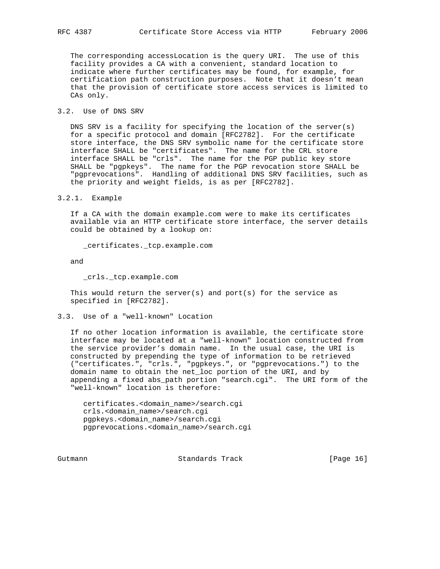The corresponding accessLocation is the query URI. The use of this facility provides a CA with a convenient, standard location to indicate where further certificates may be found, for example, for certification path construction purposes. Note that it doesn't mean that the provision of certificate store access services is limited to CAs only.

#### 3.2. Use of DNS SRV

 DNS SRV is a facility for specifying the location of the server(s) for a specific protocol and domain [RFC2782]. For the certificate store interface, the DNS SRV symbolic name for the certificate store interface SHALL be "certificates". The name for the CRL store interface SHALL be "crls". The name for the PGP public key store SHALL be "pgpkeys". The name for the PGP revocation store SHALL be "pgprevocations". Handling of additional DNS SRV facilities, such as the priority and weight fields, is as per [RFC2782].

3.2.1. Example

 If a CA with the domain example.com were to make its certificates available via an HTTP certificate store interface, the server details could be obtained by a lookup on:

\_certificates.\_tcp.example.com

and

\_crls.\_tcp.example.com

This would return the server(s) and  $port(s)$  for the service as specified in [RFC2782].

3.3. Use of a "well-known" Location

 If no other location information is available, the certificate store interface may be located at a "well-known" location constructed from the service provider's domain name. In the usual case, the URI is constructed by prepending the type of information to be retrieved ("certificates.", "crls.", "pgpkeys.", or "pgprevocations.") to the domain name to obtain the net\_loc portion of the URI, and by appending a fixed abs\_path portion "search.cgi". The URI form of the "well-known" location is therefore:

 certificates.<domain\_name>/search.cgi crls.<domain\_name>/search.cgi pgpkeys.<domain\_name>/search.cgi pgprevocations.<domain\_name>/search.cgi

Gutmann **Standards Track** [Page 16]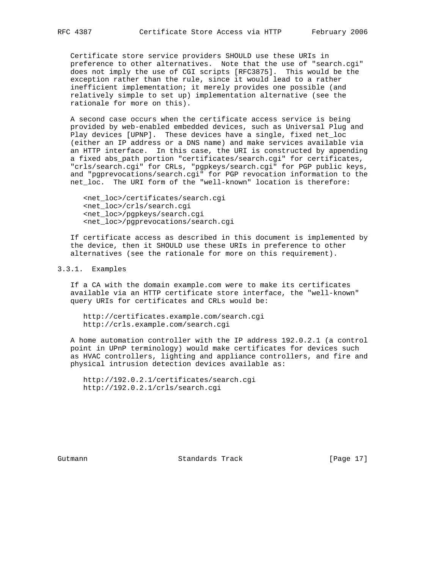Certificate store service providers SHOULD use these URIs in preference to other alternatives. Note that the use of "search.cgi" does not imply the use of CGI scripts [RFC3875]. This would be the exception rather than the rule, since it would lead to a rather inefficient implementation; it merely provides one possible (and relatively simple to set up) implementation alternative (see the rationale for more on this).

 A second case occurs when the certificate access service is being provided by web-enabled embedded devices, such as Universal Plug and Play devices [UPNP]. These devices have a single, fixed net\_loc (either an IP address or a DNS name) and make services available via an HTTP interface. In this case, the URI is constructed by appending a fixed abs\_path portion "certificates/search.cgi" for certificates, "crls/search.cgi" for CRLs, "pgpkeys/search.cgi" for PGP public keys, and "pgprevocations/search.cgi" for PGP revocation information to the net\_loc. The URI form of the "well-known" location is therefore:

 <net\_loc>/certificates/search.cgi <net\_loc>/crls/search.cgi <net\_loc>/pgpkeys/search.cgi <net\_loc>/pgprevocations/search.cgi

 If certificate access as described in this document is implemented by the device, then it SHOULD use these URIs in preference to other alternatives (see the rationale for more on this requirement).

# 3.3.1. Examples

 If a CA with the domain example.com were to make its certificates available via an HTTP certificate store interface, the "well-known" query URIs for certificates and CRLs would be:

 http://certificates.example.com/search.cgi http://crls.example.com/search.cgi

 A home automation controller with the IP address 192.0.2.1 (a control point in UPnP terminology) would make certificates for devices such as HVAC controllers, lighting and appliance controllers, and fire and physical intrusion detection devices available as:

 http://192.0.2.1/certificates/search.cgi http://192.0.2.1/crls/search.cgi

Gutmann **Standards Track** [Page 17]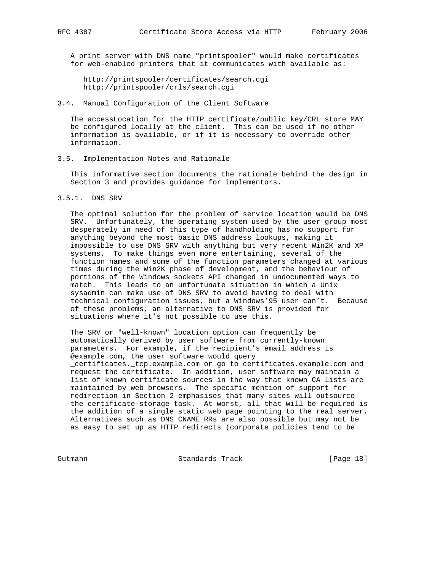A print server with DNS name "printspooler" would make certificates for web-enabled printers that it communicates with available as:

 http://printspooler/certificates/search.cgi http://printspooler/crls/search.cgi

## 3.4. Manual Configuration of the Client Software

 The accessLocation for the HTTP certificate/public key/CRL store MAY be configured locally at the client. This can be used if no other information is available, or if it is necessary to override other information.

#### 3.5. Implementation Notes and Rationale

 This informative section documents the rationale behind the design in Section 3 and provides guidance for implementors.

3.5.1. DNS SRV

 The optimal solution for the problem of service location would be DNS SRV. Unfortunately, the operating system used by the user group most desperately in need of this type of handholding has no support for anything beyond the most basic DNS address lookups, making it impossible to use DNS SRV with anything but very recent Win2K and XP systems. To make things even more entertaining, several of the function names and some of the function parameters changed at various times during the Win2K phase of development, and the behaviour of portions of the Windows sockets API changed in undocumented ways to match. This leads to an unfortunate situation in which a Unix sysadmin can make use of DNS SRV to avoid having to deal with technical configuration issues, but a Windows'95 user can't. Because of these problems, an alternative to DNS SRV is provided for situations where it's not possible to use this.

 The SRV or "well-known" location option can frequently be automatically derived by user software from currently-known parameters. For example, if the recipient's email address is @example.com, the user software would query \_certificates.\_tcp.example.com or go to certificates.example.com and request the certificate. In addition, user software may maintain a list of known certificate sources in the way that known CA lists are maintained by web browsers. The specific mention of support for redirection in Section 2 emphasises that many sites will outsource the certificate-storage task. At worst, all that will be required is the addition of a single static web page pointing to the real server. Alternatives such as DNS CNAME RRs are also possible but may not be as easy to set up as HTTP redirects (corporate policies tend to be

Gutmann Standards Track [Page 18]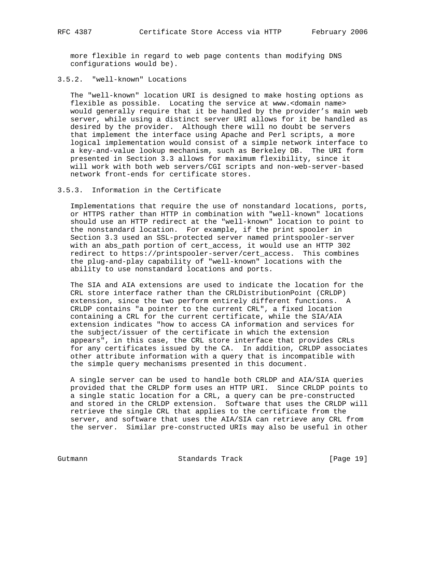more flexible in regard to web page contents than modifying DNS configurations would be).

3.5.2. "well-known" Locations

 The "well-known" location URI is designed to make hosting options as flexible as possible. Locating the service at www.<domain name> would generally require that it be handled by the provider's main web server, while using a distinct server URI allows for it be handled as desired by the provider. Although there will no doubt be servers that implement the interface using Apache and Perl scripts, a more logical implementation would consist of a simple network interface to a key-and-value lookup mechanism, such as Berkeley DB. The URI form presented in Section 3.3 allows for maximum flexibility, since it will work with both web servers/CGI scripts and non-web-server-based network front-ends for certificate stores.

#### 3.5.3. Information in the Certificate

 Implementations that require the use of nonstandard locations, ports, or HTTPS rather than HTTP in combination with "well-known" locations should use an HTTP redirect at the "well-known" location to point to the nonstandard location. For example, if the print spooler in Section 3.3 used an SSL-protected server named printspooler-server with an abs\_path portion of cert\_access, it would use an HTTP 302 redirect to https://printspooler-server/cert\_access. This combines the plug-and-play capability of "well-known" locations with the ability to use nonstandard locations and ports.

 The SIA and AIA extensions are used to indicate the location for the CRL store interface rather than the CRLDistributionPoint (CRLDP) extension, since the two perform entirely different functions. A CRLDP contains "a pointer to the current CRL", a fixed location containing a CRL for the current certificate, while the SIA/AIA extension indicates "how to access CA information and services for the subject/issuer of the certificate in which the extension appears", in this case, the CRL store interface that provides CRLs for any certificates issued by the CA. In addition, CRLDP associates other attribute information with a query that is incompatible with the simple query mechanisms presented in this document.

 A single server can be used to handle both CRLDP and AIA/SIA queries provided that the CRLDP form uses an HTTP URI. Since CRLDP points to a single static location for a CRL, a query can be pre-constructed and stored in the CRLDP extension. Software that uses the CRLDP will retrieve the single CRL that applies to the certificate from the server, and software that uses the AIA/SIA can retrieve any CRL from the server. Similar pre-constructed URIs may also be useful in other

Gutmann **Standards Track** [Page 19]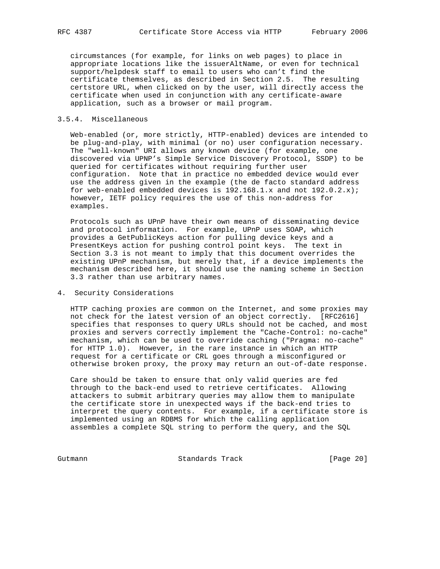circumstances (for example, for links on web pages) to place in appropriate locations like the issuerAltName, or even for technical support/helpdesk staff to email to users who can't find the certificate themselves, as described in Section 2.5. The resulting certstore URL, when clicked on by the user, will directly access the certificate when used in conjunction with any certificate-aware application, such as a browser or mail program.

# 3.5.4. Miscellaneous

 Web-enabled (or, more strictly, HTTP-enabled) devices are intended to be plug-and-play, with minimal (or no) user configuration necessary. The "well-known" URI allows any known device (for example, one discovered via UPNP's Simple Service Discovery Protocol, SSDP) to be queried for certificates without requiring further user configuration. Note that in practice no embedded device would ever use the address given in the example (the de facto standard address for web-enabled embedded devices is 192.168.1.x and not 192.0.2.x); however, IETF policy requires the use of this non-address for examples.

 Protocols such as UPnP have their own means of disseminating device and protocol information. For example, UPnP uses SOAP, which provides a GetPublicKeys action for pulling device keys and a PresentKeys action for pushing control point keys. The text in Section 3.3 is not meant to imply that this document overrides the existing UPnP mechanism, but merely that, if a device implements the mechanism described here, it should use the naming scheme in Section 3.3 rather than use arbitrary names.

# 4. Security Considerations

 HTTP caching proxies are common on the Internet, and some proxies may not check for the latest version of an object correctly. [RFC2616] specifies that responses to query URLs should not be cached, and most proxies and servers correctly implement the "Cache-Control: no-cache" mechanism, which can be used to override caching ("Pragma: no-cache" for HTTP 1.0). However, in the rare instance in which an HTTP request for a certificate or CRL goes through a misconfigured or otherwise broken proxy, the proxy may return an out-of-date response.

 Care should be taken to ensure that only valid queries are fed through to the back-end used to retrieve certificates. Allowing attackers to submit arbitrary queries may allow them to manipulate the certificate store in unexpected ways if the back-end tries to interpret the query contents. For example, if a certificate store is implemented using an RDBMS for which the calling application assembles a complete SQL string to perform the query, and the SQL

Gutmann **Standards Track** [Page 20]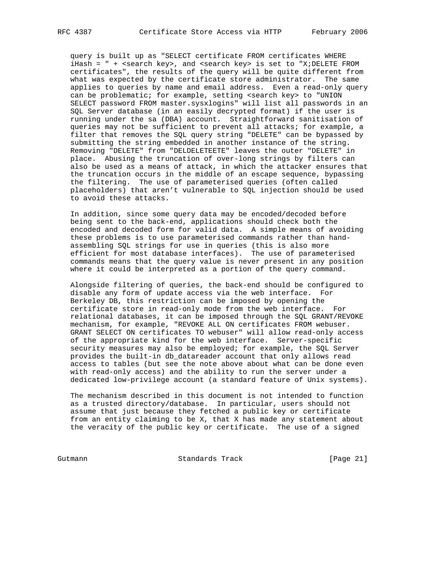query is built up as "SELECT certificate FROM certificates WHERE iHash =  $" +$  <search key>, and <search key> is set to "X;DELETE FROM certificates", the results of the query will be quite different from what was expected by the certificate store administrator. The same applies to queries by name and email address. Even a read-only query can be problematic; for example, setting <search key> to "UNION SELECT password FROM master.sysxlogins" will list all passwords in an SQL Server database (in an easily decrypted format) if the user is running under the sa (DBA) account. Straightforward sanitisation of queries may not be sufficient to prevent all attacks; for example, a filter that removes the SQL query string "DELETE" can be bypassed by submitting the string embedded in another instance of the string. Removing "DELETE" from "DELDELETEETE" leaves the outer "DELETE" in place. Abusing the truncation of over-long strings by filters can also be used as a means of attack, in which the attacker ensures that the truncation occurs in the middle of an escape sequence, bypassing the filtering. The use of parameterised queries (often called placeholders) that aren't vulnerable to SQL injection should be used to avoid these attacks.

 In addition, since some query data may be encoded/decoded before being sent to the back-end, applications should check both the encoded and decoded form for valid data. A simple means of avoiding these problems is to use parameterised commands rather than hand assembling SQL strings for use in queries (this is also more efficient for most database interfaces). The use of parameterised commands means that the query value is never present in any position where it could be interpreted as a portion of the query command.

 Alongside filtering of queries, the back-end should be configured to disable any form of update access via the web interface. For Berkeley DB, this restriction can be imposed by opening the certificate store in read-only mode from the web interface. For relational databases, it can be imposed through the SQL GRANT/REVOKE mechanism, for example, "REVOKE ALL ON certificates FROM webuser. GRANT SELECT ON certificates TO webuser" will allow read-only access of the appropriate kind for the web interface. Server-specific security measures may also be employed; for example, the SQL Server provides the built-in db\_datareader account that only allows read access to tables (but see the note above about what can be done even with read-only access) and the ability to run the server under a dedicated low-privilege account (a standard feature of Unix systems).

 The mechanism described in this document is not intended to function as a trusted directory/database. In particular, users should not assume that just because they fetched a public key or certificate from an entity claiming to be X, that X has made any statement about the veracity of the public key or certificate. The use of a signed

Gutmann **Standards Track** [Page 21]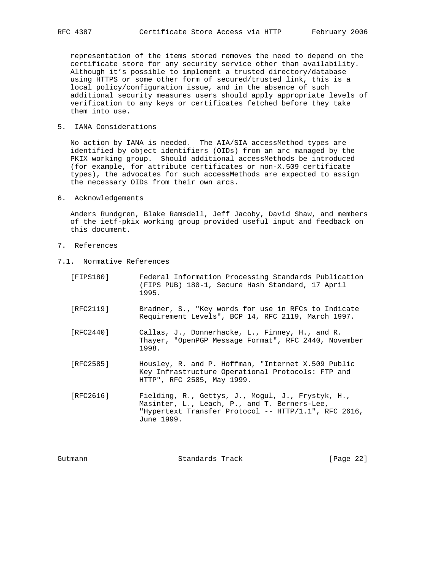representation of the items stored removes the need to depend on the certificate store for any security service other than availability. Although it's possible to implement a trusted directory/database using HTTPS or some other form of secured/trusted link, this is a local policy/configuration issue, and in the absence of such additional security measures users should apply appropriate levels of verification to any keys or certificates fetched before they take them into use.

5. IANA Considerations

 No action by IANA is needed. The AIA/SIA accessMethod types are identified by object identifiers (OIDs) from an arc managed by the PKIX working group. Should additional accessMethods be introduced (for example, for attribute certificates or non-X.509 certificate types), the advocates for such accessMethods are expected to assign the necessary OIDs from their own arcs.

6. Acknowledgements

 Anders Rundgren, Blake Ramsdell, Jeff Jacoby, David Shaw, and members of the ietf-pkix working group provided useful input and feedback on this document.

- 7. References
- 7.1. Normative References

| [FIPS180] | Federal Information Processing Standards Publication<br>(FIPS PUB) 180-1, Secure Hash Standard, 17 April<br>1995.                                                          |
|-----------|----------------------------------------------------------------------------------------------------------------------------------------------------------------------------|
| [RFC2119] | Bradner, S., "Key words for use in RFCs to Indicate<br>Requirement Levels", BCP 14, RFC 2119, March 1997.                                                                  |
| [RFC2440] | Callas, J., Donnerhacke, L., Finney, H., and R.<br>Thayer, "OpenPGP Message Format", RFC 2440, November<br>1998.                                                           |
| [RFC2585] | Housley, R. and P. Hoffman, "Internet X.509 Public<br>Key Infrastructure Operational Protocols: FTP and<br>HTTP", RFC 2585, May 1999.                                      |
| [RFC2616] | Fielding, R., Gettys, J., Mogul, J., Frystyk, H.,<br>Masinter, L., Leach, P., and T. Berners-Lee,<br>"Hypertext Transfer Protocol -- $HTTP/1.1$ ", RFC 2616,<br>June 1999. |

Gutmann Standards Track [Page 22]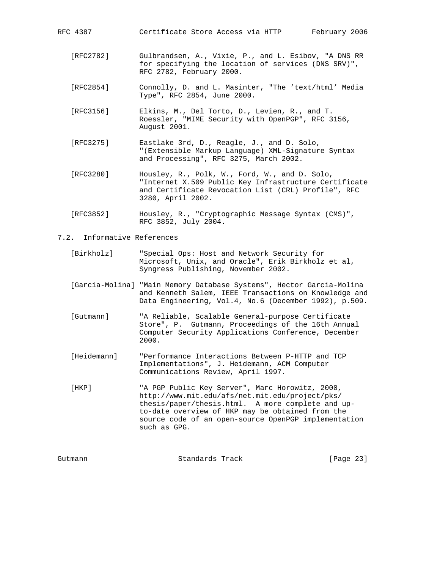[RFC2782] Gulbrandsen, A., Vixie, P., and L. Esibov, "A DNS RR for specifying the location of services (DNS SRV)",

RFC 2782, February 2000.

RFC 4387 Certificate Store Access via HTTP February 2006

- [RFC2854] Connolly, D. and L. Masinter, "The 'text/html' Media Type", RFC 2854, June 2000.
- [RFC3156] Elkins, M., Del Torto, D., Levien, R., and T. Roessler, "MIME Security with OpenPGP", RFC 3156, August 2001.
- [RFC3275] Eastlake 3rd, D., Reagle, J., and D. Solo, "(Extensible Markup Language) XML-Signature Syntax and Processing", RFC 3275, March 2002.
- [RFC3280] Housley, R., Polk, W., Ford, W., and D. Solo, "Internet X.509 Public Key Infrastructure Certificate and Certificate Revocation List (CRL) Profile", RFC 3280, April 2002.
- [RFC3852] Housley, R., "Cryptographic Message Syntax (CMS)", RFC 3852, July 2004.

7.2. Informative References

- [Birkholz] "Special Ops: Host and Network Security for Microsoft, Unix, and Oracle", Erik Birkholz et al, Syngress Publishing, November 2002.
- [Garcia-Molina] "Main Memory Database Systems", Hector Garcia-Molina and Kenneth Salem, IEEE Transactions on Knowledge and Data Engineering, Vol.4, No.6 (December 1992), p.509.
- [Gutmann] "A Reliable, Scalable General-purpose Certificate Store", P. Gutmann, Proceedings of the 16th Annual Computer Security Applications Conference, December 2000.
- [Heidemann] "Performance Interactions Between P-HTTP and TCP Implementations", J. Heidemann, ACM Computer Communications Review, April 1997.
- [HKP] "A PGP Public Key Server", Marc Horowitz, 2000, http://www.mit.edu/afs/net.mit.edu/project/pks/ thesis/paper/thesis.html. A more complete and up to-date overview of HKP may be obtained from the source code of an open-source OpenPGP implementation such as GPG.

| [Page 23] |
|-----------|
|           |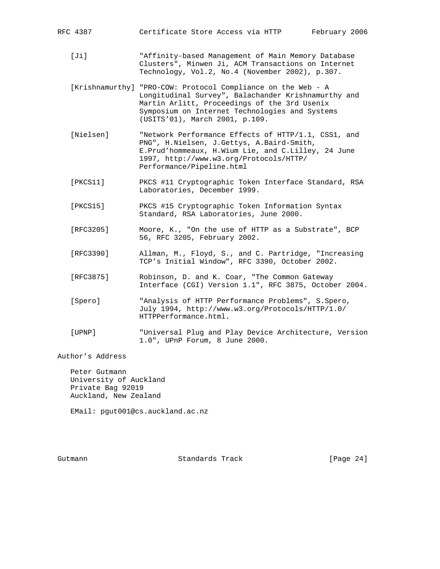RFC 4387 Certificate Store Access via HTTP February 2006

- [Ji] "Affinity-based Management of Main Memory Database Clusters", Minwen Ji, ACM Transactions on Internet Technology, Vol.2, No.4 (November 2002), p.307.
- [Krishnamurthy] "PRO-COW: Protocol Compliance on the Web A Longitudinal Survey", Balachander Krishnamurthy and Martin Arlitt, Proceedings of the 3rd Usenix Symposium on Internet Technologies and Systems (USITS'01), March 2001, p.109.
- [Nielsen] "Network Performance Effects of HTTP/1.1, CSS1, and PNG", H.Nielsen, J.Gettys, A.Baird-Smith, E.Prud'hommeaux, H.Wium Lie, and C.Lilley, 24 June 1997, http://www.w3.org/Protocols/HTTP/ Performance/Pipeline.html
- [PKCS11] PKCS #11 Cryptographic Token Interface Standard, RSA Laboratories, December 1999.
- [PKCS15] PKCS #15 Cryptographic Token Information Syntax Standard, RSA Laboratories, June 2000.
- [RFC3205] Moore, K., "On the use of HTTP as a Substrate", BCP 56, RFC 3205, February 2002.
- [RFC3390] Allman, M., Floyd, S., and C. Partridge, "Increasing TCP's Initial Window", RFC 3390, October 2002.
	- [RFC3875] Robinson, D. and K. Coar, "The Common Gateway Interface (CGI) Version 1.1", RFC 3875, October 2004.
	- [Spero] "Analysis of HTTP Performance Problems", S.Spero, July 1994, http://www.w3.org/Protocols/HTTP/1.0/ HTTPPerformance.html.
	- [UPNP] "Universal Plug and Play Device Architecture, Version 1.0", UPnP Forum, 8 June 2000.

Author's Address

 Peter Gutmann University of Auckland Private Bag 92019 Auckland, New Zealand

EMail: pgut001@cs.auckland.ac.nz

Gutmann **Standards Track** [Page 24]